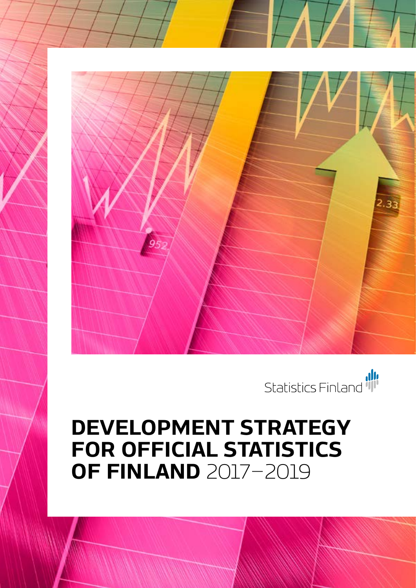

Development strategy for official statistics of Finland 2017–2019 Development strategy for official statistics of Finland 2017–2019



Statistics Finland 1

# **DEVELOPMENT STRATEGY FOR OFFICIAL STATISTICS OF FINLAND** 2017–2019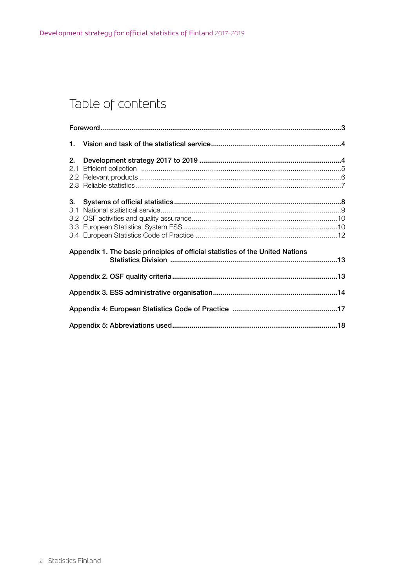# Table of contents

| 2.                                                                            |  |  |  |
|-------------------------------------------------------------------------------|--|--|--|
| 3.<br>3.1                                                                     |  |  |  |
| Appendix 1. The basic principles of official statistics of the United Nations |  |  |  |
|                                                                               |  |  |  |
|                                                                               |  |  |  |
|                                                                               |  |  |  |
|                                                                               |  |  |  |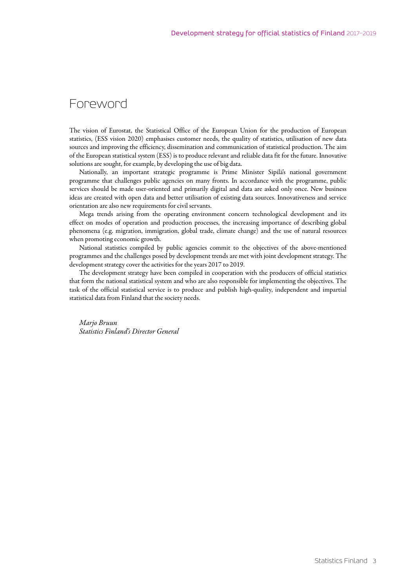### <span id="page-2-0"></span>Foreword

The vision of Eurostat, the Statistical Office of the European Union for the production of European statistics, (ESS vision 2020) emphasises customer needs, the quality of statistics, utilisation of new data sources and improving the efficiency, dissemination and communication of statistical production. The aim of the European statistical system (ESS) is to produce relevant and reliable data fit for the future. Innovative solutions are sought, for example, by developing the use of big data.

Nationally, an important strategic programme is Prime Minister Sipilä's national government programme that challenges public agencies on many fronts. In accordance with the programme, public services should be made user-oriented and primarily digital and data are asked only once. New business ideas are created with open data and better utilisation of existing data sources. Innovativeness and service orientation are also new requirements for civil servants.

Mega trends arising from the operating environment concern technological development and its effect on modes of operation and production processes, the increasing importance of describing global phenomena (e.g. migration, immigration, global trade, climate change) and the use of natural resources when promoting economic growth.

National statistics compiled by public agencies commit to the objectives of the above-mentioned programmes and the challenges posed by development trends are met with joint development strategy. The development strategy cover the activities for the years 2017 to 2019.

The development strategy have been compiled in cooperation with the producers of official statistics that form the national statistical system and who are also responsible for implementing the objectives. The task of the official statistical service is to produce and publish high-quality, independent and impartial statistical data from Finland that the society needs.

*Marjo Bruun Statistics Finland's Director General*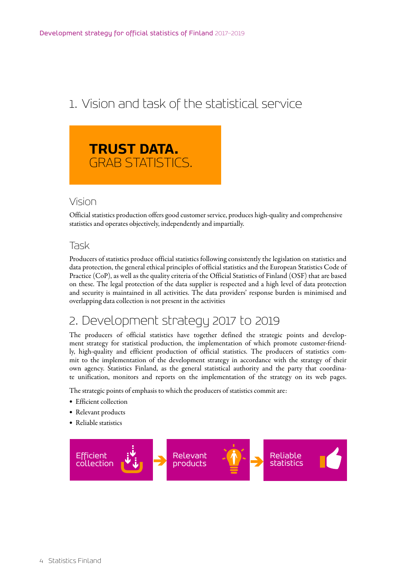# <span id="page-3-0"></span>1. Vision and task of the statistical service



### Vision

Official statistics production offers good customer service, produces high-quality and comprehensive statistics and operates objectively, independently and impartially.

### Task

Producers of statistics produce official statistics following consistently the legislation on statistics and data protection, the general ethical principles of official statistics and the European Statistics Code of Practice (CoP), as well as the quality criteria of the Official Statistics of Finland (OSF) that are based on these. The legal protection of the data supplier is respected and a high level of data protection and security is maintained in all activities. The data providers' response burden is minimised and overlapping data collection is not present in the activities

## 2. Development strategy 2017 to 2019

The producers of official statistics have together defined the strategic points and development strategy for statistical production, the implementation of which promote customer-friendly, high-quality and efficient production of official statistics. The producers of statistics commit to the implementation of the development strategy in accordance with the strategy of their own agency. Statistics Finland, as the general statistical authority and the party that coordinate unification, monitors and reports on the implementation of the strategy on its web pages.

The strategic points of emphasis to which the producers of statistics commit are:

- Efficient collection
- Relevant products
- Reliable statistics

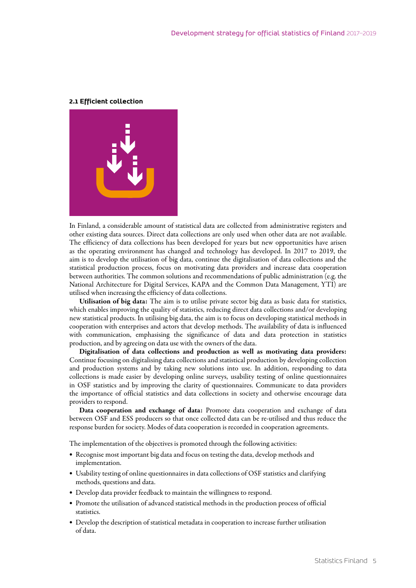#### <span id="page-4-0"></span>**2.1 Efficient collection**



In Finland, a considerable amount of statistical data are collected from administrative registers and other existing data sources. Direct data collections are only used when other data are not available. The efficiency of data collections has been developed for years but new opportunities have arisen as the operating environment has changed and technology has developed. In 2017 to 2019, the aim is to develop the utilisation of big data, continue the digitalisation of data collections and the statistical production process, focus on motivating data providers and increase data cooperation between authorities. The common solutions and recommendations of public administration (e.g. the National Architecture for Digital Services, KAPA and the Common Data Management, YTI) are utilised when increasing the efficiency of data collections.

Utilisation of big data: The aim is to utilise private sector big data as basic data for statistics, which enables improving the quality of statistics, reducing direct data collections and/or developing new statistical products. In utilising big data, the aim is to focus on developing statistical methods in cooperation with enterprises and actors that develop methods. The availability of data is influenced with communication, emphasising the significance of data and data protection in statistics production, and by agreeing on data use with the owners of the data.

Digitalisation of data collections and production as well as motivating data providers: Continue focusing on digitalising data collections and statistical production by developing collection and production systems and by taking new solutions into use. In addition, responding to data collections is made easier by developing online surveys, usability testing of online questionnaires in OSF statistics and by improving the clarity of questionnaires. Communicate to data providers the importance of official statistics and data collections in society and otherwise encourage data providers to respond.

Data cooperation and exchange of data: Promote data cooperation and exchange of data between OSF and ESS producers so that once collected data can be re-utilised and thus reduce the response burden for society. Modes of data cooperation is recorded in cooperation agreements.

The implementation of the objectives is promoted through the following activities:

- Recognise most important big data and focus on testing the data, develop methods and implementation.
- Usability testing of online questionnaires in data collections of OSF statistics and clarifying methods, questions and data.
- Develop data provider feedback to maintain the willingness to respond.
- Promote the utilisation of advanced statistical methods in the production process of official statistics.
- Develop the description of statistical metadata in cooperation to increase further utilisation of data.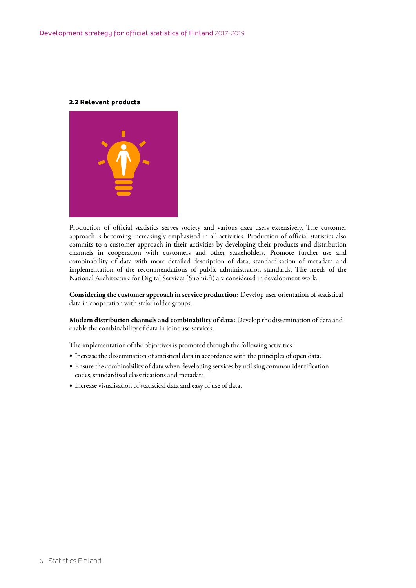#### <span id="page-5-0"></span>**2.2 Relevant products**



Production of official statistics serves society and various data users extensively. The customer approach is becoming increasingly emphasised in all activities. Production of official statistics also commits to a customer approach in their activities by developing their products and distribution channels in cooperation with customers and other stakeholders. Promote further use and combinability of data with more detailed description of data, standardisation of metadata and implementation of the recommendations of public administration standards. The needs of the National Architecture for Digital Services (Suomi.fi) are considered in development work.

Considering the customer approach in service production: Develop user orientation of statistical data in cooperation with stakeholder groups.

Modern distribution channels and combinability of data: Develop the dissemination of data and enable the combinability of data in joint use services.

The implementation of the objectives is promoted through the following activities:

- • Increase the dissemination of statistical data in accordance with the principles of open data.
- • Ensure the combinability of data when developing services by utilising common identification codes, standardised classifications and metadata.
- • Increase visualisation of statistical data and easy of use of data.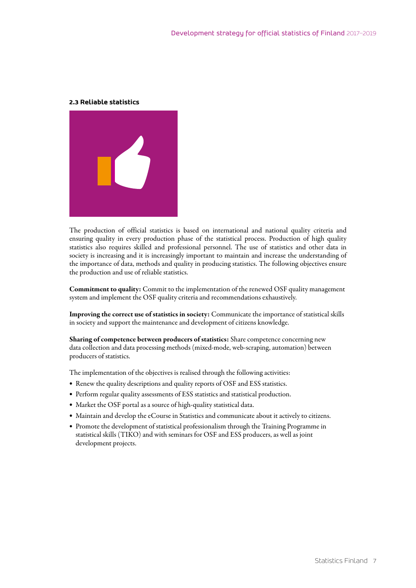#### <span id="page-6-0"></span>**2.3 Reliable statistics**



The production of official statistics is based on international and national quality criteria and ensuring quality in every production phase of the statistical process. Production of high quality statistics also requires skilled and professional personnel. The use of statistics and other data in society is increasing and it is increasingly important to maintain and increase the understanding of the importance of data, methods and quality in producing statistics. The following objectives ensure the production and use of reliable statistics.

Commitment to quality: Commit to the implementation of the renewed OSF quality management system and implement the OSF quality criteria and recommendations exhaustively.

Improving the correct use of statistics in society: Communicate the importance of statistical skills in society and support the maintenance and development of citizens knowledge.

Sharing of competence between producers of statistics: Share competence concerning new data collection and data processing methods (mixed-mode, web-scraping, automation) between producers of statistics.

The implementation of the objectives is realised through the following activities:

- Renew the quality descriptions and quality reports of OSF and ESS statistics.
- Perform regular quality assessments of ESS statistics and statistical production.
- Market the OSF portal as a source of high-quality statistical data.
- • Maintain and develop the eCourse in Statistics and communicate about it actively to citizens.
- • Promote the development of statistical professionalism through the Training Programme in statistical skills (TIKO) and with seminars for OSF and ESS producers, as well as joint development projects.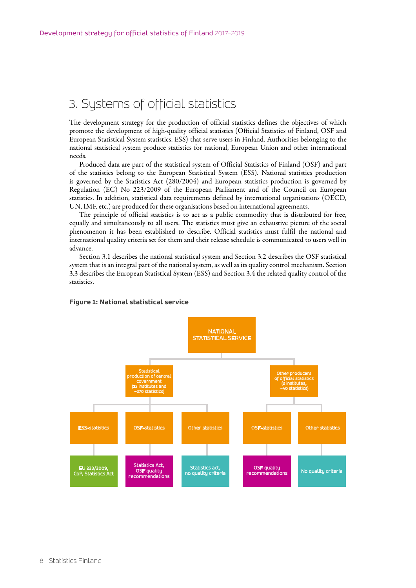### <span id="page-7-0"></span>3. Systems of official statistics

The development strategy for the production of official statistics defines the objectives of which promote the development of high-quality official statistics (Official Statistics of Finland, OSF and European Statistical System statistics, ESS) that serve users in Finland. Authorities belonging to the national statistical system produce statistics for national, European Union and other international needs.

Produced data are part of the statistical system of Official Statistics of Finland (OSF) and part of the statistics belong to the European Statistical System (ESS). National statistics production is governed by the Statistics Act (280/2004) and European statistics production is governed by Regulation (EC) No 223/2009 of the European Parliament and of the Council on European statistics. In addition, statistical data requirements defined by international organisations (OECD, UN, IMF, etc.) are produced for these organisations based on international agreements.

The principle of official statistics is to act as a public commodity that is distributed for free, equally and simultaneously to all users. The statistics must give an exhaustive picture of the social phenomenon it has been established to describe. Official statistics must fulfil the national and international quality criteria set for them and their release schedule is communicated to users well in advance.

Section 3.1 describes the national statistical system and Section 3.2 describes the OSF statistical system that is an integral part of the national system, as well as its quality control mechanism. Section 3.3 describes the European Statistical System (ESS) and Section 3.4 the related quality control of the statistics.

#### Other producers of official statistics (2 institutes, ~40 statistics) **NATIONAL** STATISTICAL SERVICE Other statistics **OSF-statistics** Dther statistics **Statistical** production of central covernment (12 institutes and ~270 statistics) ESS-statistics OSF-statistics EU 223/2009, CoP, Statistics Act istics Act OSF quality recommendations Statistics act, no quality criteria OSF quality OSF quality<br>recommendations No quality criteria

#### **Figure 1: National statistical service**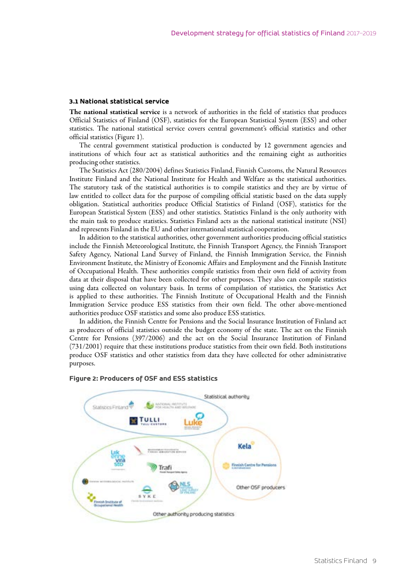#### <span id="page-8-0"></span>**3.1 National statistical service**

The national statistical service is a network of authorities in the field of statistics that produces Official Statistics of Finland (OSF), statistics for the European Statistical System (ESS) and other statistics. The national statistical service covers central government's official statistics and other official statistics (Figure 1).

The central government statistical production is conducted by 12 government agencies and institutions of which four act as statistical authorities and the remaining eight as authorities producing other statistics.

The Statistics Act (280/2004) defines Statistics Finland, Finnish Customs, the Natural Resources Institute Finland and the National Institute for Health and Welfare as the statistical authorities. The statutory task of the statistical authorities is to compile statistics and they are by virtue of law entitled to collect data for the purpose of compiling official statistic based on the data supply obligation. Statistical authorities produce Official Statistics of Finland (OSF), statistics for the European Statistical System (ESS) and other statistics. Statistics Finland is the only authority with the main task to produce statistics. Statistics Finland acts as the national statistical institute (NSI) and represents Finland in the EU and other international statistical cooperation.

In addition to the statistical authorities, other government authorities producing official statistics include the Finnish Meteorological Institute, the Finnish Transport Agency, the Finnish Transport Safety Agency, National Land Survey of Finland, the Finnish Immigration Service, the Finnish Environment Institute, the Ministry of Economic Affairs and Employment and the Finnish Institute of Occupational Health. These authorities compile statistics from their own field of activity from data at their disposal that have been collected for other purposes. They also can compile statistics using data collected on voluntary basis. In terms of compilation of statistics, the Statistics Act is applied to these authorities. The Finnish Institute of Occupational Health and the Finnish Immigration Service produce ESS statistics from their own field. The other above-mentioned authorities produce OSF statistics and some also produce ESS statistics.

In addition, the Finnish Centre for Pensions and the Social Insurance Institution of Finland act as producers of official statistics outside the budget economy of the state. The act on the Finnish Centre for Pensions (397/2006) and the act on the Social Insurance Institution of Finland (731/2001) require that these institutions produce statistics from their own field. Both institutions produce OSF statistics and other statistics from data they have collected for other administrative purposes.



#### **Figure 2: Producers of OSF and ESS statistics**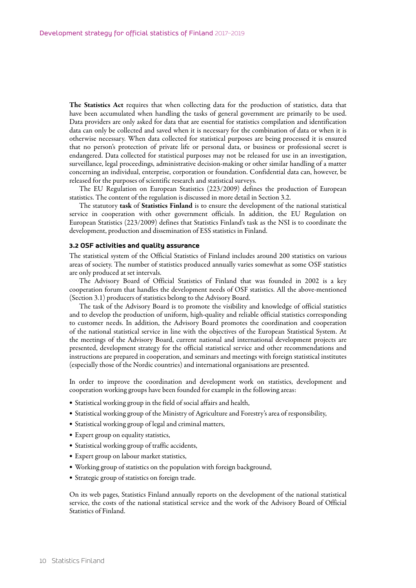<span id="page-9-0"></span>The Statistics Act requires that when collecting data for the production of statistics, data that have been accumulated when handling the tasks of general government are primarily to be used. Data providers are only asked for data that are essential for statistics compilation and identification data can only be collected and saved when it is necessary for the combination of data or when it is otherwise necessary. When data collected for statistical purposes are being processed it is ensured that no person's protection of private life or personal data, or business or professional secret is endangered. Data collected for statistical purposes may not be released for use in an investigation, surveillance, legal proceedings, administrative decision-making or other similar handling of a matter concerning an individual, enterprise, corporation or foundation. Confidential data can, however, be released for the purposes of scientific research and statistical surveys.

The EU Regulation on European Statistics (223/2009) defines the production of European statistics. The content of the regulation is discussed in more detail in Section 3.2.

The statutory task of Statistics Finland is to ensure the development of the national statistical service in cooperation with other government officials. In addition, the EU Regulation on European Statistics (223/2009) defines that Statistics Finland's task as the NSI is to coordinate the development, production and dissemination of ESS statistics in Finland.

#### **3.2 OSF activities and quality assurance**

The statistical system of the Official Statistics of Finland includes around 200 statistics on various areas of society. The number of statistics produced annually varies somewhat as some OSF statistics are only produced at set intervals.

The Advisory Board of Official Statistics of Finland that was founded in 2002 is a key cooperation forum that handles the development needs of OSF statistics. All the above-mentioned (Section 3.1) producers of statistics belong to the Advisory Board.

The task of the Advisory Board is to promote the visibility and knowledge of official statistics and to develop the production of uniform, high-quality and reliable official statistics corresponding to customer needs. In addition, the Advisory Board promotes the coordination and cooperation of the national statistical service in line with the objectives of the European Statistical System. At the meetings of the Advisory Board, current national and international development projects are presented, development strategy for the official statistical service and other recommendations and instructions are prepared in cooperation, and seminars and meetings with foreign statistical institutes (especially those of the Nordic countries) and international organisations are presented.

In order to improve the coordination and development work on statistics, development and cooperation working groups have been founded for example in the following areas:

- • Statistical working group in the field of social affairs and health,
- • Statistical working group of the Ministry of Agriculture and Forestry's area of responsibility,
- • Statistical working group of legal and criminal matters,
- Expert group on equality statistics,
- • Statistical working group of traffic accidents,
- • Expert group on labour market statistics,
- • Working group of statistics on the population with foreign background,
- • Strategic group of statistics on foreign trade.

On its web pages, Statistics Finland annually reports on the development of the national statistical service, the costs of the national statistical service and the work of the Advisory Board of Official Statistics of Finland.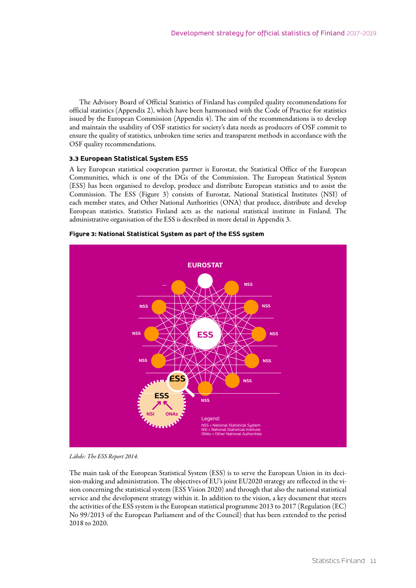The Advisory Board of Official Statistics of Finland has compiled quality recommendations for official statistics (Appendix 2), which have been harmonised with the Code of Practice for statistics issued by the European Commission (Appendix 4). The aim of the recommendations is to develop and maintain the usability of OSF statistics for society's data needs as producers of OSF commit to ensure the quality of statistics, unbroken time series and transparent methods in accordance with the OSF quality recommendations.

#### **3.3 European Statistical System ESS**

A key European statistical cooperation partner is Eurostat, the Statistical Office of the European Communities, which is one of the DGs of the Commission. The European Statistical System (ESS) has been organised to develop, produce and distribute European statistics and to assist the Commission. The ESS (Figure 3) consists of Eurostat, National Statistical Institutes (NSI) of each member states, and Other National Authorities (ONA) that produce, distribute and develop European statistics. Statistics Finland acts as the national statistical institute in Finland. The administrative organisation of the ESS is described in more detail in Appendix 3.



**Figure 3: National Statistical System as part of the ESS system**

*Lähde: The ESS Report 2014.* 

The main task of the European Statistical System (ESS) is to serve the European Union in its decision-making and administration. The objectives of EU's joint EU2020 strategy are reflected in the vision concerning the statistical system (ESS Vision 2020) and through that also the national statistical service and the development strategy within it. In addition to the vision, a key document that steers the activities of the ESS system is the European statistical programme 2013 to 2017 (Regulation (EC) No 99/2013 of the European Parliament and of the Council) that has been extended to the period 2018 to 2020.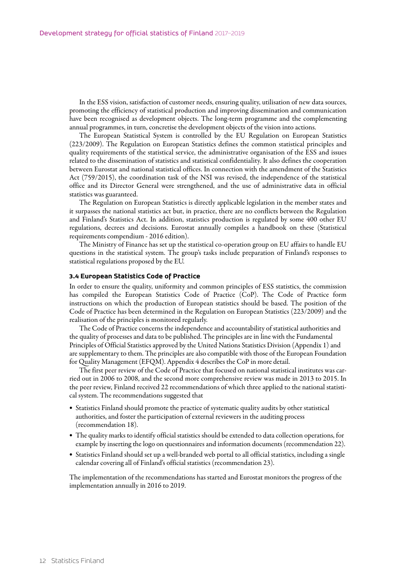<span id="page-11-0"></span>In the ESS vision, satisfaction of customer needs, ensuring quality, utilisation of new data sources, promoting the efficiency of statistical production and improving dissemination and communication have been recognised as development objects. The long-term programme and the complementing annual programmes, in turn, concretise the development objects of the vision into actions.

The European Statistical System is controlled by the EU Regulation on European Statistics (223/2009). The Regulation on European Statistics defines the common statistical principles and quality requirements of the statistical service, the administrative organisation of the ESS and issues related to the dissemination of statistics and statistical confidentiality. It also defines the cooperation between Eurostat and national statistical offices. In connection with the amendment of the Statistics Act (759/2015), the coordination task of the NSI was revised, the independence of the statistical office and its Director General were strengthened, and the use of administrative data in official statistics was guaranteed.

The Regulation on European Statistics is directly applicable legislation in the member states and it surpasses the national statistics act but, in practice, there are no conflicts between the Regulation and Finland's Statistics Act. In addition, statistics production is regulated by some 400 other EU regulations, decrees and decisions. Eurostat annually compiles a handbook on these (Statistical requirements compendium - 2016 edition).

The Ministry of Finance has set up the statistical co-operation group on EU affairs to handle EU questions in the statistical system. The group's tasks include preparation of Finland's responses to statistical regulations proposed by the EU.

#### **3.4 European Statistics Code of Practice**

In order to ensure the quality, uniformity and common principles of ESS statistics, the commission has compiled the European Statistics Code of Practice (CoP). The Code of Practice form instructions on which the production of European statistics should be based. The position of the Code of Practice has been determined in the Regulation on European Statistics (223/2009) and the realisation of the principles is monitored regularly.

The Code of Practice concerns the independence and accountability of statistical authorities and the quality of processes and data to be published. The principles are in line with the Fundamental Principles of Official Statistics approved by the United Nations Statistics Division (Appendix 1) and are supplementary to them. The principles are also compatible with those of the European Foundation for Quality Management (EFQM). Appendix 4 describes the CoP in more detail.

The first peer review of the Code of Practice that focused on national statistical institutes was carried out in 2006 to 2008, and the second more comprehensive review was made in 2013 to 2015. In the peer review, Finland received 22 recommendations of which three applied to the national statistical system. The recommendations suggested that

- Statistics Finland should promote the practice of systematic quality audits by other statistical authorities, and foster the participation of external reviewers in the auditing process (recommendation 18).
- • The quality marks to identify official statistics should be extended to data collection operations, for example by inserting the logo on questionnaires and information documents (recommendation 22).
- • Statistics Finland should set up a well-branded web portal to all official statistics, including a single calendar covering all of Finland's official statistics (recommendation 23).

The implementation of the recommendations has started and Eurostat monitors the progress of the implementation annually in 2016 to 2019.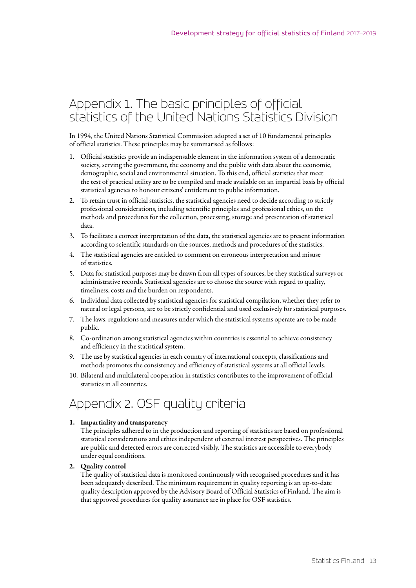### <span id="page-12-0"></span>Appendix 1. The basic principles of official statistics of the United Nations Statistics Division

In 1994, the United Nations Statistical Commission adopted a set of 10 fundamental principles of official statistics. These principles may be summarised as follows:

- 1. Official statistics provide an indispensable element in the information system of a democratic society, serving the government, the economy and the public with data about the economic, demographic, social and environmental situation. To this end, official statistics that meet the test of practical utility are to be compiled and made available on an impartial basis by official statistical agencies to honour citizens' entitlement to public information.
- 2. To retain trust in official statistics, the statistical agencies need to decide according to strictly professional considerations, including scientific principles and professional ethics, on the methods and procedures for the collection, processing, storage and presentation of statistical data.
- 3. To facilitate a correct interpretation of the data, the statistical agencies are to present information according to scientific standards on the sources, methods and procedures of the statistics.
- 4. The statistical agencies are entitled to comment on erroneous interpretation and misuse of statistics.
- 5. Data for statistical purposes may be drawn from all types of sources, be they statistical surveys or administrative records. Statistical agencies are to choose the source with regard to quality, timeliness, costs and the burden on respondents.
- 6. Individual data collected by statistical agencies for statistical compilation, whether they refer to natural or legal persons, are to be strictly confidential and used exclusively for statistical purposes.
- 7. The laws, regulations and measures under which the statistical systems operate are to be made public.
- 8. Co-ordination among statistical agencies within countries is essential to achieve consistency and efficiency in the statistical system.
- 9. The use by statistical agencies in each country of international concepts, classifications and methods promotes the consistency and efficiency of statistical systems at all official levels.
- 10. Bilateral and multilateral cooperation in statistics contributes to the improvement of official statistics in all countries.

### Appendix 2. OSF quality criteria

#### 1. Impartiality and transparency

The principles adhered to in the production and reporting of statistics are based on professional statistical considerations and ethics independent of external interest perspectives. The principles are public and detected errors are corrected visibly. The statistics are accessible to everybody under equal conditions.

#### 2. Quality control

The quality of statistical data is monitored continuously with recognised procedures and it has been adequately described. The minimum requirement in quality reporting is an up-to-date quality description approved by the Advisory Board of Official Statistics of Finland. The aim is that approved procedures for quality assurance are in place for OSF statistics.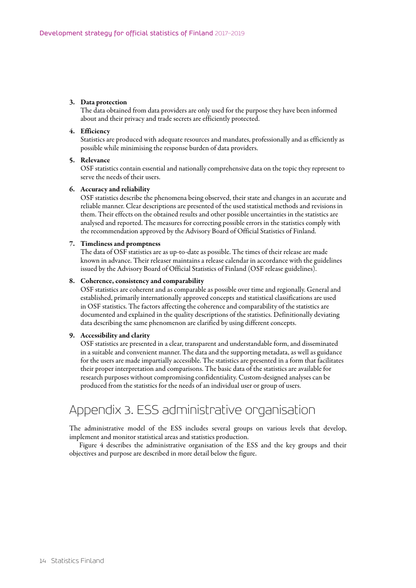#### <span id="page-13-0"></span>3. Data protection

The data obtained from data providers are only used for the purpose they have been informed about and their privacy and trade secrets are efficiently protected.

#### 4. Efficiency

Statistics are produced with adequate resources and mandates, professionally and as efficiently as possible while minimising the response burden of data providers.

#### 5. Relevance

OSF statistics contain essential and nationally comprehensive data on the topic they represent to serve the needs of their users.

#### 6. Accuracy and reliability

OSF statistics describe the phenomena being observed, their state and changes in an accurate and reliable manner. Clear descriptions are presented of the used statistical methods and revisions in them. Their effects on the obtained results and other possible uncertainties in the statistics are analysed and reported. The measures for correcting possible errors in the statistics comply with the recommendation approved by the Advisory Board of Official Statistics of Finland.

#### 7. Timeliness and promptness

The data of OSF statistics are as up-to-date as possible. The times of their release are made known in advance. Their releaser maintains a release calendar in accordance with the guidelines issued by the Advisory Board of Official Statistics of Finland (OSF release guidelines).

#### 8. Coherence, consistency and comparability

OSF statistics are coherent and as comparable as possible over time and regionally. General and established, primarily internationally approved concepts and statistical classifications are used in OSF statistics. The factors affecting the coherence and comparability of the statistics are documented and explained in the quality descriptions of the statistics. Definitionally deviating data describing the same phenomenon are clarified by using different concepts.

#### 9. Accessibility and clarity

OSF statistics are presented in a clear, transparent and understandable form, and disseminated in a suitable and convenient manner. The data and the supporting metadata, as well as guidance for the users are made impartially accessible. The statistics are presented in a form that facilitates their proper interpretation and comparisons. The basic data of the statistics are available for research purposes without compromising confidentiality. Custom-designed analyses can be produced from the statistics for the needs of an individual user or group of users.

### Appendix 3. ESS administrative organisation

The administrative model of the ESS includes several groups on various levels that develop, implement and monitor statistical areas and statistics production.

Figure 4 describes the administrative organisation of the ESS and the key groups and their objectives and purpose are described in more detail below the figure.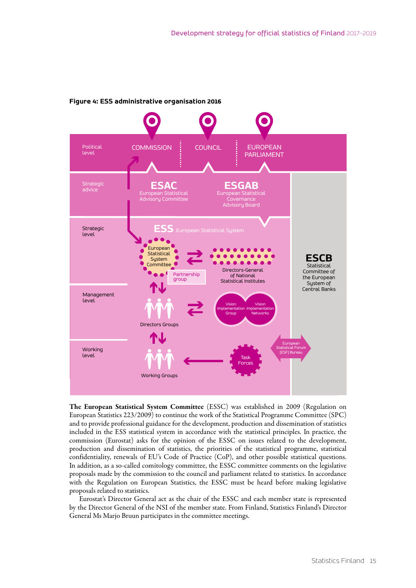

#### **Figure 4: ESS administrative organisation 2016**

The European Statistical System Committee (ESSC) was established in 2009 (Regulation on European Statistics 223/2009) to continue the work of the Statistical Programme Committee (SPC) and to provide professional guidance for the development, production and dissemination of statistics included in the ESS statistical system in accordance with the statistical principles. In practice, the commission (Eurostat) asks for the opinion of the ESSC on issues related to the development, production and dissemination of statistics, the priorities of the statistical programme, statistical confidentiality, renewals of EU's Code of Practice (CoP), and other possible statistical questions. In addition, as a so-called comitology committee, the ESSC committee comments on the legislative proposals made by the commission to the council and parliament related to statistics. In accordance with the Regulation on European Statistics, the ESSC must be heard before making legislative proposals related to statistics.

Eurostat's Director General act as the chair of the ESSC and each member state is represented by the Director General of the NSI of the member state. From Finland, Statistics Finland's Director General Ms Marjo Bruun participates in the committee meetings.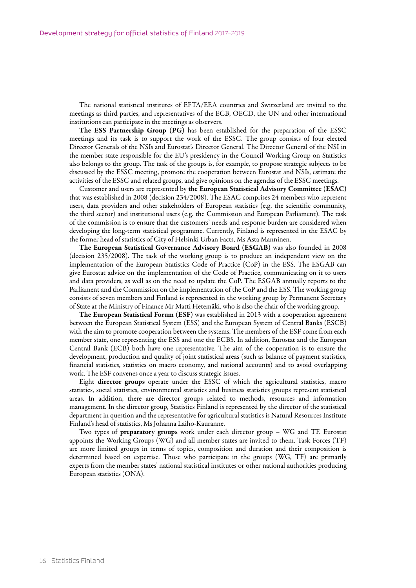<span id="page-15-0"></span>The national statistical institutes of EFTA/EEA countries and Switzerland are invited to the meetings as third parties, and representatives of the ECB, OECD, the UN and other international institutions can participate in the meetings as observers.

The ESS Partnership Group (PG) has been established for the preparation of the ESSC meetings and its task is to support the work of the ESSC. The group consists of four elected Director Generals of the NSIs and Eurostat's Director General. The Director General of the NSI in the member state responsible for the EU's presidency in the Council Working Group on Statistics also belongs to the group. The task of the groups is, for example, to propose strategic subjects to be discussed by the ESSC meeting, promote the cooperation between Eurostat and NSIs, estimate the activities of the ESSC and related groups, and give opinions on the agendas of the ESSC meetings.

Customer and users are represented by the European Statistical Advisory Committee (ESAC) that was established in 2008 (decision 234/2008). The ESAC comprises 24 members who represent users, data providers and other stakeholders of European statistics (e.g. the scientific community, the third sector) and institutional users (e.g. the Commission and European Parliament). The task of the commission is to ensure that the customers' needs and response burden are considered when developing the long-term statistical programme. Currently, Finland is represented in the ESAC by the former head of statistics of City of Helsinki Urban Facts, Ms Asta Manninen.

The European Statistical Governance Advisory Board (ESGAB) was also founded in 2008 (decision 235/2008). The task of the working group is to produce an independent view on the implementation of the European Statistics Code of Practice (CoP) in the ESS. The ESGAB can give Eurostat advice on the implementation of the Code of Practice, communicating on it to users and data providers, as well as on the need to update the CoP. The ESGAB annually reports to the Parliament and the Commission on the implementation of the CoP and the ESS. The working group consists of seven members and Finland is represented in the working group by Permanent Secretary of State at the Ministry of Finance Mr Matti Hetemäki, who is also the chair of the working group.

The European Statistical Forum (ESF) was established in 2013 with a cooperation agreement between the European Statistical System (ESS) and the European System of Central Banks (ESCB) with the aim to promote cooperation between the systems. The members of the ESF come from each member state, one representing the ESS and one the ECBS. In addition, Eurostat and the European Central Bank (ECB) both have one representative. The aim of the cooperation is to ensure the development, production and quality of joint statistical areas (such as balance of payment statistics, financial statistics, statistics on macro economy, and national accounts) and to avoid overlapping work. The ESF convenes once a year to discuss strategic issues.

Eight director groups operate under the ESSC of which the agricultural statistics, macro statistics, social statistics, environmental statistics and business statistics groups represent statistical areas. In addition, there are director groups related to methods, resources and information management. In the director group, Statistics Finland is represented by the director of the statistical department in question and the representative for agricultural statistics is Natural Resources Institute Finland's head of statistics, Ms Johanna Laiho-Kauranne.

Two types of preparatory groups work under each director group – WG and TF. Eurostat appoints the Working Groups (WG) and all member states are invited to them. Task Forces (TF) are more limited groups in terms of topics, composition and duration and their composition is determined based on expertise. Those who participate in the groups (WG, TF) are primarily experts from the member states' national statistical institutes or other national authorities producing European statistics (ONA).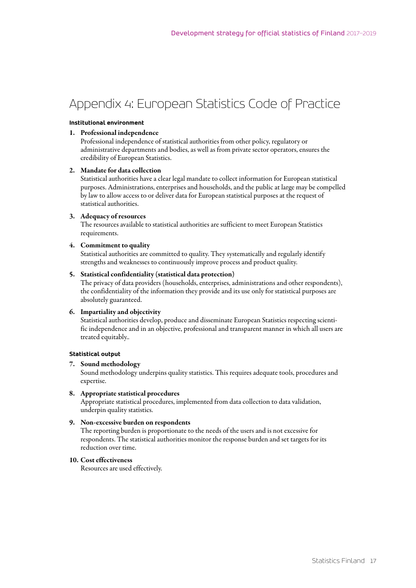## <span id="page-16-0"></span>Appendix 4: European Statistics Code of Practice

#### **Institutional environment**

#### 1. Professional independence

Professional independence of statistical authorities from other policy, regulatory or administrative departments and bodies, as well as from private sector operators, ensures the credibility of European Statistics.

#### 2. Mandate for data collection

Statistical authorities have a clear legal mandate to collect information for European statistical purposes. Administrations, enterprises and households, and the public at large may be compelled by law to allow access to or deliver data for European statistical purposes at the request of statistical authorities.

#### 3. Adequacy of resources

The resources available to statistical authorities are sufficient to meet European Statistics requirements.

#### 4. Commitment to quality

Statistical authorities are committed to quality. They systematically and regularly identify strengths and weaknesses to continuously improve process and product quality.

#### 5. Statistical confidentiality (statistical data protection)

The privacy of data providers (households, enterprises, administrations and other respondents), the confidentiality of the information they provide and its use only for statistical purposes are absolutely guaranteed.

#### 6. Impartiality and objectivity

Statistical authorities develop, produce and disseminate European Statistics respecting scientific independence and in an objective, professional and transparent manner in which all users are treated equitably..

#### **Statistical output**

#### 7. Sound methodology

Sound methodology underpins quality statistics. This requires adequate tools, procedures and expertise.

#### 8. Appropriate statistical procedures

Appropriate statistical procedures, implemented from data collection to data validation, underpin quality statistics.

#### 9. Non-excessive burden on respondents

The reporting burden is proportionate to the needs of the users and is not excessive for respondents. The statistical authorities monitor the response burden and set targets for its reduction over time.

#### 10. Cost effectiveness

Resources are used effectively.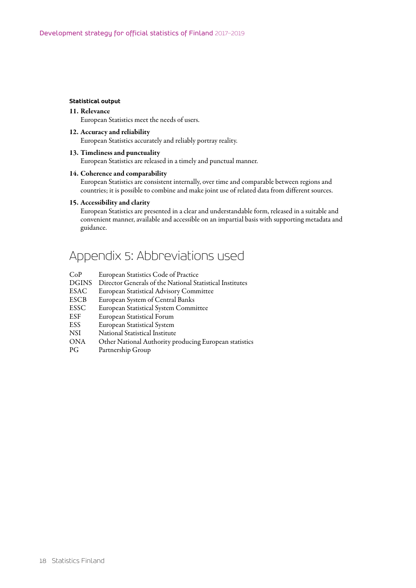#### **Statistical output**

#### 11. Relevance

European Statistics meet the needs of users.

12. Accuracy and reliability European Statistics accurately and reliably portray reality.

#### 13. Timeliness and punctuality

European Statistics are released in a timely and punctual manner.

#### 14. Coherence and comparability

European Statistics are consistent internally, over time and comparable between regions and countries; it is possible to combine and make joint use of related data from different sources.

#### 15. Accessibility and clarity

European Statistics are presented in a clear and understandable form, released in a suitable and convenient manner, available and accessible on an impartial basis with supporting metadata and guidance.

### Appendix 5: Abbreviations used

- CoP European Statistics Code of Practice
- DGINS Director Generals of the National Statistical Institutes
- ESAC European Statistical Advisory Committee
- ESCB European System of Central Banks
- ESSC European Statistical System Committee
- ESF European Statistical Forum
- ESS European Statistical System
- NSI National Statistical Institute
- ONA Other National Authority producing European statistics
- PG Partnership Group